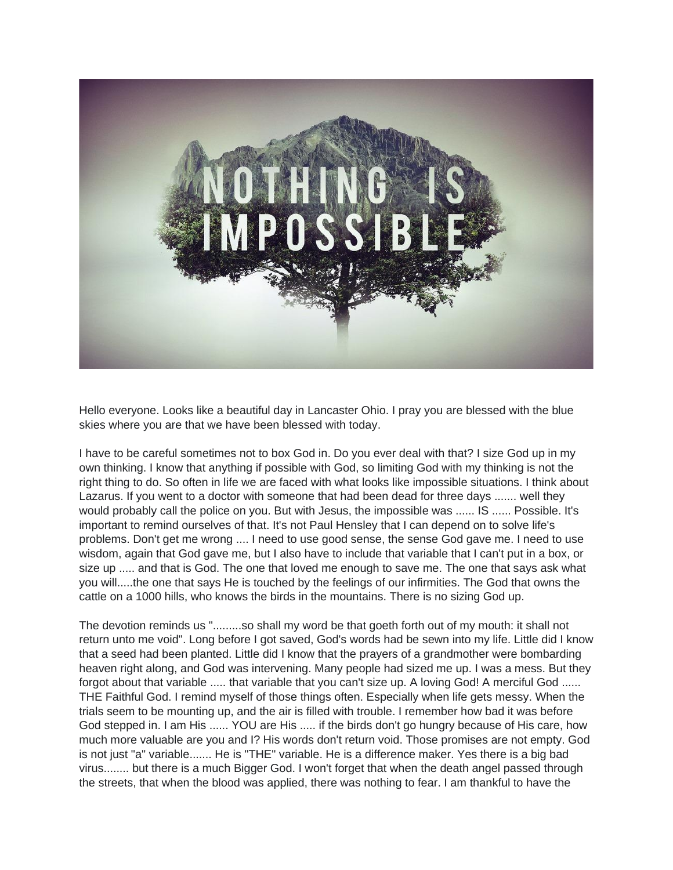

Hello everyone. Looks like a beautiful day in Lancaster Ohio. I pray you are blessed with the blue skies where you are that we have been blessed with today.

I have to be careful sometimes not to box God in. Do you ever deal with that? I size God up in my own thinking. I know that anything if possible with God, so limiting God with my thinking is not the right thing to do. So often in life we are faced with what looks like impossible situations. I think about Lazarus. If you went to a doctor with someone that had been dead for three days ....... well they would probably call the police on you. But with Jesus, the impossible was ...... IS ...... Possible. It's important to remind ourselves of that. It's not Paul Hensley that I can depend on to solve life's problems. Don't get me wrong .... I need to use good sense, the sense God gave me. I need to use wisdom, again that God gave me, but I also have to include that variable that I can't put in a box, or size up ..... and that is God. The one that loved me enough to save me. The one that says ask what you will.....the one that says He is touched by the feelings of our infirmities. The God that owns the cattle on a 1000 hills, who knows the birds in the mountains. There is no sizing God up.

The devotion reminds us ".........so shall my word be that goeth forth out of my mouth: it shall not return unto me void". Long before I got saved, God's words had be sewn into my life. Little did I know that a seed had been planted. Little did I know that the prayers of a grandmother were bombarding heaven right along, and God was intervening. Many people had sized me up. I was a mess. But they forgot about that variable ..... that variable that you can't size up. A loving God! A merciful God ...... THE Faithful God. I remind myself of those things often. Especially when life gets messy. When the trials seem to be mounting up, and the air is filled with trouble. I remember how bad it was before God stepped in. I am His ...... YOU are His ..... if the birds don't go hungry because of His care, how much more valuable are you and I? His words don't return void. Those promises are not empty. God is not just "a" variable....... He is "THE" variable. He is a difference maker. Yes there is a big bad virus........ but there is a much Bigger God. I won't forget that when the death angel passed through the streets, that when the blood was applied, there was nothing to fear. I am thankful to have the